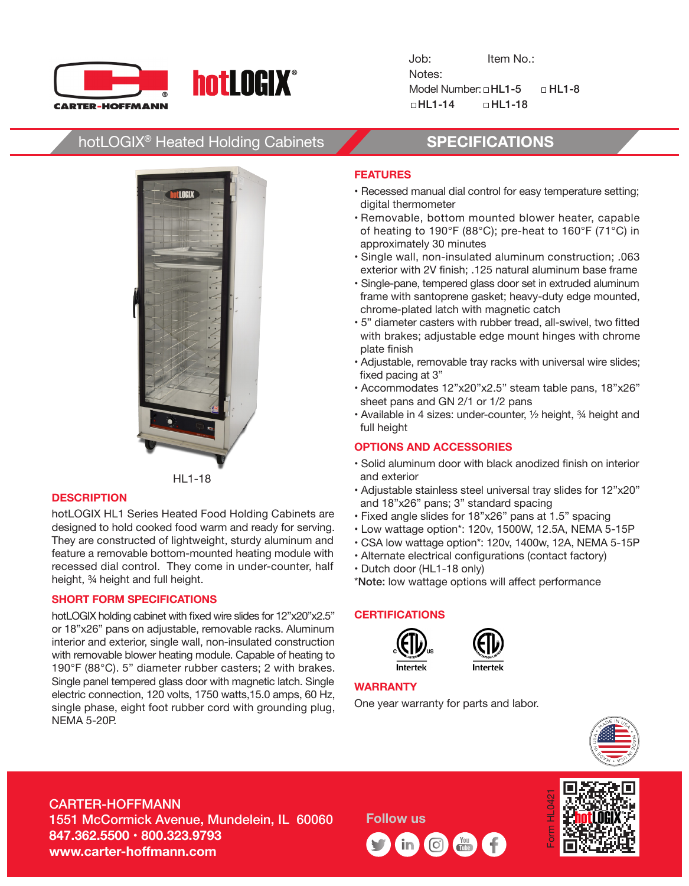

Job: Item No.: Notes: Model Number:  $\Box$  HL1-8  $\Box$  HL1-8 HL1-14 HL1-18

# hotLOGIX® Heated Holding Cabinets **SPECIFICATIONS**



HL1-18

#### **DESCRIPTION**

hotLOGIX HL1 Series Heated Food Holding Cabinets are designed to hold cooked food warm and ready for serving. They are constructed of lightweight, sturdy aluminum and feature a removable bottom-mounted heating module with recessed dial control. They come in under-counter, half height, ¾ height and full height.

#### **SHORT FORM SPECIFICATIONS**

hotLOGIX holding cabinet with fixed wire slides for 12"x20"x2.5" or 18"x26" pans on adjustable, removable racks. Aluminum interior and exterior, single wall, non-insulated construction with removable blower heating module. Capable of heating to 190°F (88°C). 5" diameter rubber casters; 2 with brakes. Single panel tempered glass door with magnetic latch. Single electric connection, 120 volts, 1750 watts,15.0 amps, 60 Hz, single phase, eight foot rubber cord with grounding plug, NEMA 5-20P.

### **FEATURES**

- Recessed manual dial control for easy temperature setting; digital thermometer
- Removable, bottom mounted blower heater, capable of heating to 190°F (88°C); pre-heat to 160°F (71°C) in approximately 30 minutes
- Single wall, non-insulated aluminum construction; .063 exterior with 2V finish; .125 natural aluminum base frame
- Single-pane, tempered glass door set in extruded aluminum frame with santoprene gasket; heavy-duty edge mounted, chrome-plated latch with magnetic catch
- 5" diameter casters with rubber tread, all-swivel, two fitted with brakes; adjustable edge mount hinges with chrome plate finish
- Adjustable, removable tray racks with universal wire slides; fixed pacing at 3"
- Accommodates 12"x20"x2.5" steam table pans, 18"x26" sheet pans and GN 2/1 or 1/2 pans
- Available in 4 sizes: under-counter, ½ height, ¾ height and full height

### **OPTIONS AND ACCESSORIES**

- Solid aluminum door with black anodized finish on interior and exterior
- Adjustable stainless steel universal tray slides for 12"x20" and 18"x26" pans; 3" standard spacing
- Fixed angle slides for 18"x26" pans at 1.5" spacing
- Low wattage option\*: 120v, 1500W, 12.5A, NEMA 5-15P
- CSA low wattage option\*: 120v, 1400w, 12A, NEMA 5-15P
- Alternate electrical configurations (contact factory)
- Dutch door (HL1-18 only)

\*Note: low wattage options will affect performance

#### **CERTIFICATIONS**





Intertek

## **WARRANTY**

One year warranty for parts and labor.



# CARTER-HOFFMANN

1551 McCormick Avenue, Mundelein, IL 60060 **847.362.5500 • 800.323.9793 www.carter-hoffmann.com**

**Follow us**